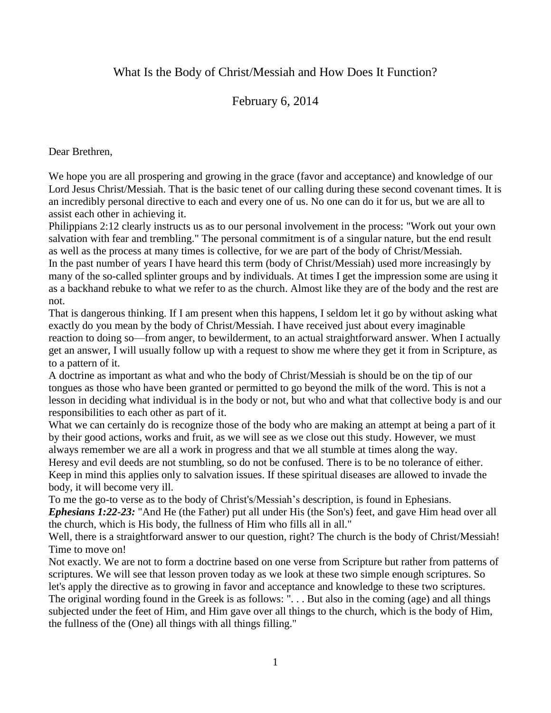## What Is the Body of Christ/Messiah and How Does It Function?

## February 6, 2014

Dear Brethren,

We hope you are all prospering and growing in the grace (favor and acceptance) and knowledge of our Lord Jesus Christ/Messiah. That is the basic tenet of our calling during these second covenant times. It is an incredibly personal directive to each and every one of us. No one can do it for us, but we are all to assist each other in achieving it.

Philippians 2:12 clearly instructs us as to our personal involvement in the process: "Work out your own salvation with fear and trembling." The personal commitment is of a singular nature, but the end result as well as the process at many times is collective, for we are part of the body of Christ/Messiah. In the past number of years I have heard this term (body of Christ/Messiah) used more increasingly by many of the so-called splinter groups and by individuals. At times I get the impression some are using it as a backhand rebuke to what we refer to as the church. Almost like they are of the body and the rest are not.

That is dangerous thinking. If I am present when this happens, I seldom let it go by without asking what exactly do you mean by the body of Christ/Messiah. I have received just about every imaginable reaction to doing so—from anger, to bewilderment, to an actual straightforward answer. When I actually get an answer, I will usually follow up with a request to show me where they get it from in Scripture, as to a pattern of it.

A doctrine as important as what and who the body of Christ/Messiah is should be on the tip of our tongues as those who have been granted or permitted to go beyond the milk of the word. This is not a lesson in deciding what individual is in the body or not, but who and what that collective body is and our responsibilities to each other as part of it.

What we can certainly do is recognize those of the body who are making an attempt at being a part of it by their good actions, works and fruit, as we will see as we close out this study. However, we must always remember we are all a work in progress and that we all stumble at times along the way.

Heresy and evil deeds are not stumbling, so do not be confused. There is to be no tolerance of either. Keep in mind this applies only to salvation issues. If these spiritual diseases are allowed to invade the body, it will become very ill.

To me the go-to verse as to the body of Christ's/Messiah's description, is found in Ephesians.

*Ephesians 1:22-23:* "And He (the Father) put all under His (the Son's) feet, and gave Him head over all the church, which is His body, the fullness of Him who fills all in all."

Well, there is a straightforward answer to our question, right? The church is the body of Christ/Messiah! Time to move on!

Not exactly. We are not to form a doctrine based on one verse from Scripture but rather from patterns of scriptures. We will see that lesson proven today as we look at these two simple enough scriptures. So let's apply the directive as to growing in favor and acceptance and knowledge to these two scriptures. The original wording found in the Greek is as follows: ". . . But also in the coming (age) and all things

subjected under the feet of Him, and Him gave over all things to the church, which is the body of Him, the fullness of the (One) all things with all things filling."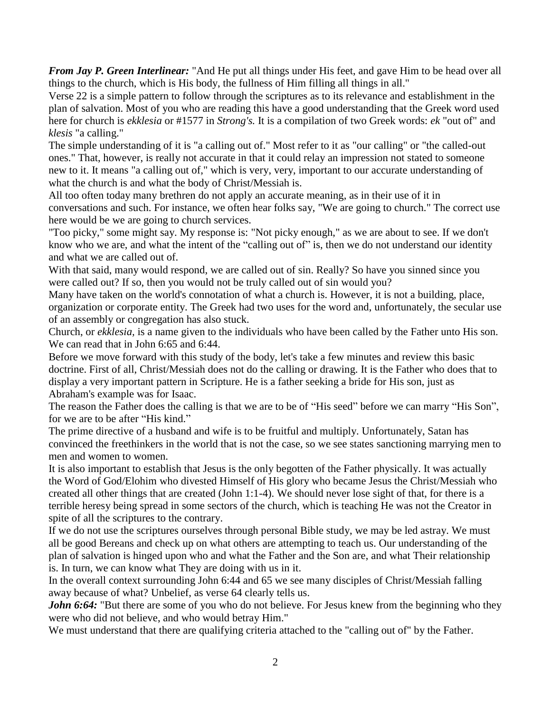*From Jay P. Green Interlinear:* "And He put all things under His feet, and gave Him to be head over all things to the church, which is His body, the fullness of Him filling all things in all."

Verse 22 is a simple pattern to follow through the scriptures as to its relevance and establishment in the plan of salvation. Most of you who are reading this have a good understanding that the Greek word used here for church is *ekklesia* or #1577 in *Strong's.* It is a compilation of two Greek words: *ek* "out of" and *klesis* "a calling."

The simple understanding of it is "a calling out of." Most refer to it as "our calling" or "the called-out ones." That, however, is really not accurate in that it could relay an impression not stated to someone new to it. It means "a calling out of," which is very, very, important to our accurate understanding of what the church is and what the body of Christ/Messiah is.

All too often today many brethren do not apply an accurate meaning, as in their use of it in conversations and such. For instance, we often hear folks say, "We are going to church." The correct use here would be we are going to church services.

"Too picky," some might say. My response is: "Not picky enough," as we are about to see. If we don't know who we are, and what the intent of the "calling out of" is, then we do not understand our identity and what we are called out of.

With that said, many would respond, we are called out of sin. Really? So have you sinned since you were called out? If so, then you would not be truly called out of sin would you?

Many have taken on the world's connotation of what a church is. However, it is not a building, place, organization or corporate entity. The Greek had two uses for the word and, unfortunately, the secular use of an assembly or congregation has also stuck.

Church, or *ekklesia,* is a name given to the individuals who have been called by the Father unto His son. We can read that in John 6:65 and 6:44.

Before we move forward with this study of the body, let's take a few minutes and review this basic doctrine. First of all, Christ/Messiah does not do the calling or drawing. It is the Father who does that to display a very important pattern in Scripture. He is a father seeking a bride for His son, just as Abraham's example was for Isaac.

The reason the Father does the calling is that we are to be of "His seed" before we can marry "His Son", for we are to be after "His kind."

The prime directive of a husband and wife is to be fruitful and multiply. Unfortunately, Satan has convinced the freethinkers in the world that is not the case, so we see states sanctioning marrying men to men and women to women.

It is also important to establish that Jesus is the only begotten of the Father physically. It was actually the Word of God/Elohim who divested Himself of His glory who became Jesus the Christ/Messiah who created all other things that are created (John 1:1-4). We should never lose sight of that, for there is a terrible heresy being spread in some sectors of the church, which is teaching He was not the Creator in spite of all the scriptures to the contrary.

If we do not use the scriptures ourselves through personal Bible study, we may be led astray. We must all be good Bereans and check up on what others are attempting to teach us. Our understanding of the plan of salvation is hinged upon who and what the Father and the Son are, and what Their relationship is. In turn, we can know what They are doing with us in it.

In the overall context surrounding John 6:44 and 65 we see many disciples of Christ/Messiah falling away because of what? Unbelief, as verse 64 clearly tells us.

*John 6:64:* "But there are some of you who do not believe. For Jesus knew from the beginning who they were who did not believe, and who would betray Him."

We must understand that there are qualifying criteria attached to the "calling out of" by the Father.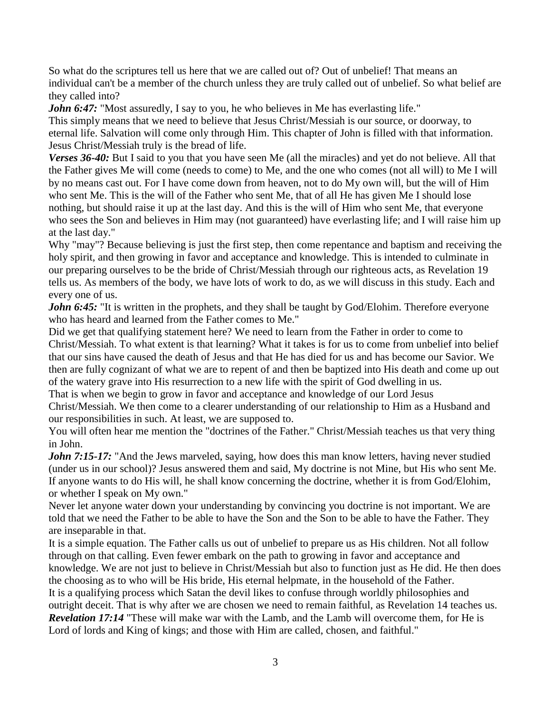So what do the scriptures tell us here that we are called out of? Out of unbelief! That means an individual can't be a member of the church unless they are truly called out of unbelief. So what belief are they called into?

*John 6:47:* "Most assuredly, I say to you, he who believes in Me has everlasting life."

This simply means that we need to believe that Jesus Christ/Messiah is our source, or doorway, to eternal life. Salvation will come only through Him. This chapter of John is filled with that information. Jesus Christ/Messiah truly is the bread of life.

*Verses 36-40:* But I said to you that you have seen Me (all the miracles) and yet do not believe. All that the Father gives Me will come (needs to come) to Me, and the one who comes (not all will) to Me I will by no means cast out. For I have come down from heaven, not to do My own will, but the will of Him who sent Me. This is the will of the Father who sent Me, that of all He has given Me I should lose nothing, but should raise it up at the last day. And this is the will of Him who sent Me, that everyone who sees the Son and believes in Him may (not guaranteed) have everlasting life; and I will raise him up at the last day."

Why "may"? Because believing is just the first step, then come repentance and baptism and receiving the holy spirit, and then growing in favor and acceptance and knowledge. This is intended to culminate in our preparing ourselves to be the bride of Christ/Messiah through our righteous acts, as Revelation 19 tells us. As members of the body, we have lots of work to do, as we will discuss in this study. Each and every one of us.

*John 6:45:* "It is written in the prophets, and they shall be taught by God/Elohim. Therefore everyone who has heard and learned from the Father comes to Me."

Did we get that qualifying statement here? We need to learn from the Father in order to come to Christ/Messiah. To what extent is that learning? What it takes is for us to come from unbelief into belief that our sins have caused the death of Jesus and that He has died for us and has become our Savior. We then are fully cognizant of what we are to repent of and then be baptized into His death and come up out of the watery grave into His resurrection to a new life with the spirit of God dwelling in us.

That is when we begin to grow in favor and acceptance and knowledge of our Lord Jesus Christ/Messiah. We then come to a clearer understanding of our relationship to Him as a Husband and our responsibilities in such. At least, we are supposed to.

You will often hear me mention the "doctrines of the Father." Christ/Messiah teaches us that very thing in John.

*John 7:15-17:* "And the Jews marveled, saying, how does this man know letters, having never studied (under us in our school)? Jesus answered them and said, My doctrine is not Mine, but His who sent Me. If anyone wants to do His will, he shall know concerning the doctrine, whether it is from God/Elohim, or whether I speak on My own."

Never let anyone water down your understanding by convincing you doctrine is not important. We are told that we need the Father to be able to have the Son and the Son to be able to have the Father. They are inseparable in that.

It is a simple equation. The Father calls us out of unbelief to prepare us as His children. Not all follow through on that calling. Even fewer embark on the path to growing in favor and acceptance and knowledge. We are not just to believe in Christ/Messiah but also to function just as He did. He then does the choosing as to who will be His bride, His eternal helpmate, in the household of the Father.

It is a qualifying process which Satan the devil likes to confuse through worldly philosophies and outright deceit. That is why after we are chosen we need to remain faithful, as Revelation 14 teaches us. *Revelation 17:14* "These will make war with the Lamb, and the Lamb will overcome them, for He is Lord of lords and King of kings; and those with Him are called, chosen, and faithful."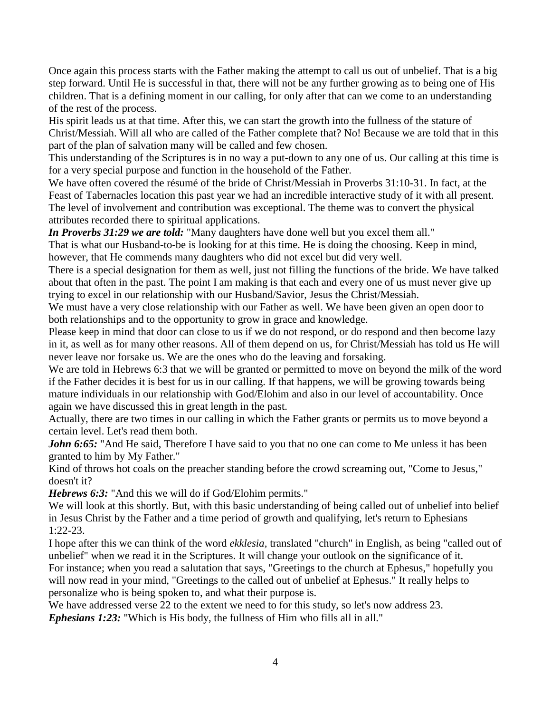Once again this process starts with the Father making the attempt to call us out of unbelief. That is a big step forward. Until He is successful in that, there will not be any further growing as to being one of His children. That is a defining moment in our calling, for only after that can we come to an understanding of the rest of the process.

His spirit leads us at that time. After this, we can start the growth into the fullness of the stature of Christ/Messiah. Will all who are called of the Father complete that? No! Because we are told that in this part of the plan of salvation many will be called and few chosen.

This understanding of the Scriptures is in no way a put-down to any one of us. Our calling at this time is for a very special purpose and function in the household of the Father.

We have often covered the résumé of the bride of Christ/Messiah in Proverbs 31:10-31. In fact, at the Feast of Tabernacles location this past year we had an incredible interactive study of it with all present. The level of involvement and contribution was exceptional. The theme was to convert the physical attributes recorded there to spiritual applications.

*In Proverbs 31:29 we are told:* "Many daughters have done well but you excel them all."

That is what our Husband-to-be is looking for at this time. He is doing the choosing. Keep in mind, however, that He commends many daughters who did not excel but did very well.

There is a special designation for them as well, just not filling the functions of the bride. We have talked about that often in the past. The point I am making is that each and every one of us must never give up trying to excel in our relationship with our Husband/Savior, Jesus the Christ/Messiah.

We must have a very close relationship with our Father as well. We have been given an open door to both relationships and to the opportunity to grow in grace and knowledge.

Please keep in mind that door can close to us if we do not respond, or do respond and then become lazy in it, as well as for many other reasons. All of them depend on us, for Christ/Messiah has told us He will never leave nor forsake us. We are the ones who do the leaving and forsaking.

We are told in Hebrews 6:3 that we will be granted or permitted to move on beyond the milk of the word if the Father decides it is best for us in our calling. If that happens, we will be growing towards being mature individuals in our relationship with God/Elohim and also in our level of accountability. Once again we have discussed this in great length in the past.

Actually, there are two times in our calling in which the Father grants or permits us to move beyond a certain level. Let's read them both.

*John 6:65:* "And He said, Therefore I have said to you that no one can come to Me unless it has been granted to him by My Father."

Kind of throws hot coals on the preacher standing before the crowd screaming out, "Come to Jesus," doesn't it?

*Hebrews 6:3:* "And this we will do if God/Elohim permits."

We will look at this shortly. But, with this basic understanding of being called out of unbelief into belief in Jesus Christ by the Father and a time period of growth and qualifying, let's return to Ephesians 1:22-23.

I hope after this we can think of the word *ekklesia,* translated "church" in English, as being "called out of unbelief" when we read it in the Scriptures. It will change your outlook on the significance of it.

For instance; when you read a salutation that says, "Greetings to the church at Ephesus," hopefully you will now read in your mind, "Greetings to the called out of unbelief at Ephesus." It really helps to personalize who is being spoken to, and what their purpose is.

We have addressed verse 22 to the extent we need to for this study, so let's now address 23.

*Ephesians 1:23:* "Which is His body, the fullness of Him who fills all in all."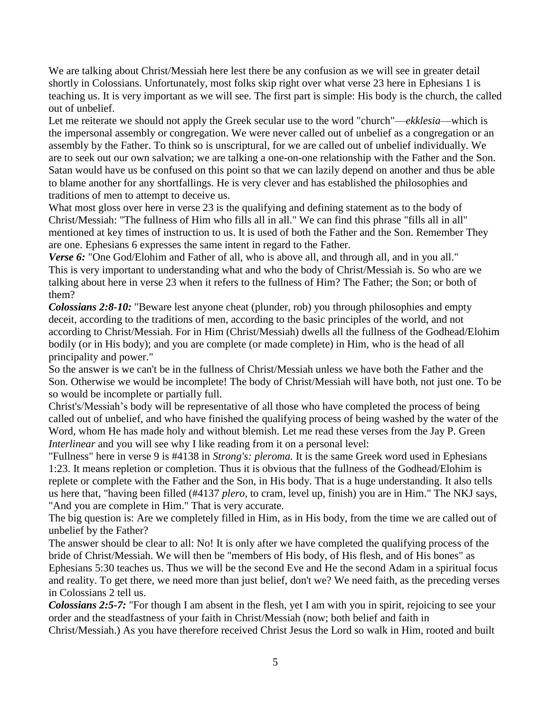We are talking about Christ/Messiah here lest there be any confusion as we will see in greater detail shortly in Colossians. Unfortunately, most folks skip right over what verse 23 here in Ephesians 1 is teaching us. It is very important as we will see. The first part is simple: His body is the church, the called out of unbelief.

Let me reiterate we should not apply the Greek secular use to the word "church"—*ekklesia*—which is the impersonal assembly or congregation. We were never called out of unbelief as a congregation or an assembly by the Father. To think so is unscriptural, for we are called out of unbelief individually. We are to seek out our own salvation; we are talking a one-on-one relationship with the Father and the Son. Satan would have us be confused on this point so that we can lazily depend on another and thus be able to blame another for any shortfallings. He is very clever and has established the philosophies and traditions of men to attempt to deceive us.

What most gloss over here in verse 23 is the qualifying and defining statement as to the body of Christ/Messiah: "The fullness of Him who fills all in all." We can find this phrase "fills all in all" mentioned at key times of instruction to us. It is used of both the Father and the Son. Remember They are one. Ephesians 6 expresses the same intent in regard to the Father.

*Verse 6:* "One God/Elohim and Father of all, who is above all, and through all, and in you all." This is very important to understanding what and who the body of Christ/Messiah is. So who are we talking about here in verse 23 when it refers to the fullness of Him? The Father; the Son; or both of them?

*Colossians 2:8-10:* "Beware lest anyone cheat (plunder, rob) you through philosophies and empty deceit, according to the traditions of men, according to the basic principles of the world, and not according to Christ/Messiah. For in Him (Christ/Messiah) dwells all the fullness of the Godhead/Elohim bodily (or in His body); and you are complete (or made complete) in Him, who is the head of all principality and power."

So the answer is we can't be in the fullness of Christ/Messiah unless we have both the Father and the Son. Otherwise we would be incomplete! The body of Christ/Messiah will have both, not just one. To be so would be incomplete or partially full.

Christ's/Messiah's body will be representative of all those who have completed the process of being called out of unbelief, and who have finished the qualifying process of being washed by the water of the Word, whom He has made holy and without blemish. Let me read these verses from the Jay P. Green *Interlinear* and you will see why I like reading from it on a personal level:

"Fullness" here in verse 9 is #4138 in *Strong's: pleroma.* It is the same Greek word used in Ephesians 1:23. It means repletion or completion. Thus it is obvious that the fullness of the Godhead/Elohim is replete or complete with the Father and the Son, in His body. That is a huge understanding. It also tells us here that, "having been filled (#4137 *plero,* to cram, level up, finish) you are in Him." The NKJ says, "And you are complete in Him." That is very accurate.

The big question is: Are we completely filled in Him, as in His body, from the time we are called out of unbelief by the Father?

The answer should be clear to all: No! It is only after we have completed the qualifying process of the bride of Christ/Messiah. We will then be "members of His body, of His flesh, and of His bones" as

Ephesians 5:30 teaches us. Thus we will be the second Eve and He the second Adam in a spiritual focus and reality. To get there, we need more than just belief, don't we? We need faith, as the preceding verses in Colossians 2 tell us.

*Colossians 2:5-7:* "For though I am absent in the flesh, yet I am with you in spirit, rejoicing to see your order and the steadfastness of your faith in Christ/Messiah (now; both belief and faith in Christ/Messiah.) As you have therefore received Christ Jesus the Lord so walk in Him, rooted and built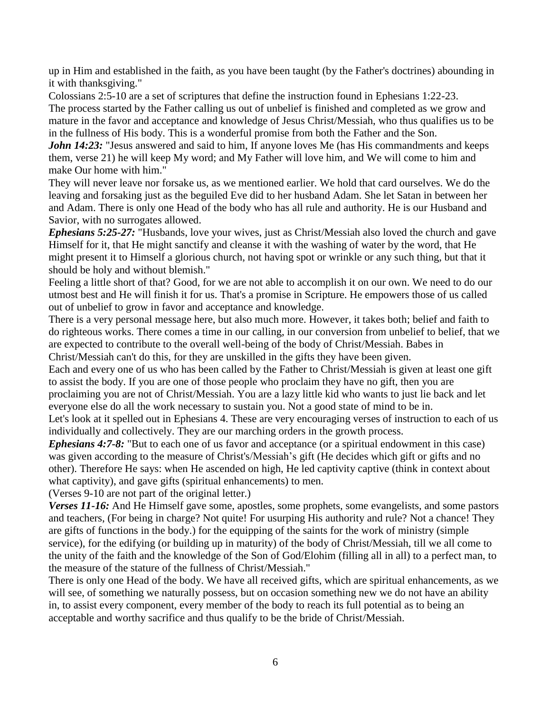up in Him and established in the faith, as you have been taught (by the Father's doctrines) abounding in it with thanksgiving."

Colossians 2:5-10 are a set of scriptures that define the instruction found in Ephesians 1:22-23.

The process started by the Father calling us out of unbelief is finished and completed as we grow and mature in the favor and acceptance and knowledge of Jesus Christ/Messiah, who thus qualifies us to be in the fullness of His body. This is a wonderful promise from both the Father and the Son.

*John 14:23:* "Jesus answered and said to him, If anyone loves Me (has His commandments and keeps them, verse 21) he will keep My word; and My Father will love him, and We will come to him and make Our home with him."

They will never leave nor forsake us, as we mentioned earlier. We hold that card ourselves. We do the leaving and forsaking just as the beguiled Eve did to her husband Adam. She let Satan in between her and Adam. There is only one Head of the body who has all rule and authority. He is our Husband and Savior, with no surrogates allowed.

*Ephesians 5:25-27:* "Husbands, love your wives, just as Christ/Messiah also loved the church and gave Himself for it, that He might sanctify and cleanse it with the washing of water by the word, that He might present it to Himself a glorious church, not having spot or wrinkle or any such thing, but that it should be holy and without blemish."

Feeling a little short of that? Good, for we are not able to accomplish it on our own. We need to do our utmost best and He will finish it for us. That's a promise in Scripture. He empowers those of us called out of unbelief to grow in favor and acceptance and knowledge.

There is a very personal message here, but also much more. However, it takes both; belief and faith to do righteous works. There comes a time in our calling, in our conversion from unbelief to belief, that we are expected to contribute to the overall well-being of the body of Christ/Messiah. Babes in Christ/Messiah can't do this, for they are unskilled in the gifts they have been given.

Each and every one of us who has been called by the Father to Christ/Messiah is given at least one gift to assist the body. If you are one of those people who proclaim they have no gift, then you are proclaiming you are not of Christ/Messiah. You are a lazy little kid who wants to just lie back and let everyone else do all the work necessary to sustain you. Not a good state of mind to be in.

Let's look at it spelled out in Ephesians 4. These are very encouraging verses of instruction to each of us individually and collectively. They are our marching orders in the growth process.

*Ephesians 4:7-8:* "But to each one of us favor and acceptance (or a spiritual endowment in this case) was given according to the measure of Christ's/Messiah's gift (He decides which gift or gifts and no other). Therefore He says: when He ascended on high, He led captivity captive (think in context about what captivity), and gave gifts (spiritual enhancements) to men.

(Verses 9-10 are not part of the original letter.)

*Verses 11-16:* And He Himself gave some, apostles, some prophets, some evangelists, and some pastors and teachers, (For being in charge? Not quite! For usurping His authority and rule? Not a chance! They are gifts of functions in the body.) for the equipping of the saints for the work of ministry (simple service), for the edifying (or building up in maturity) of the body of Christ/Messiah, till we all come to the unity of the faith and the knowledge of the Son of God/Elohim (filling all in all) to a perfect man, to the measure of the stature of the fullness of Christ/Messiah."

There is only one Head of the body. We have all received gifts, which are spiritual enhancements, as we will see, of something we naturally possess, but on occasion something new we do not have an ability in, to assist every component, every member of the body to reach its full potential as to being an acceptable and worthy sacrifice and thus qualify to be the bride of Christ/Messiah.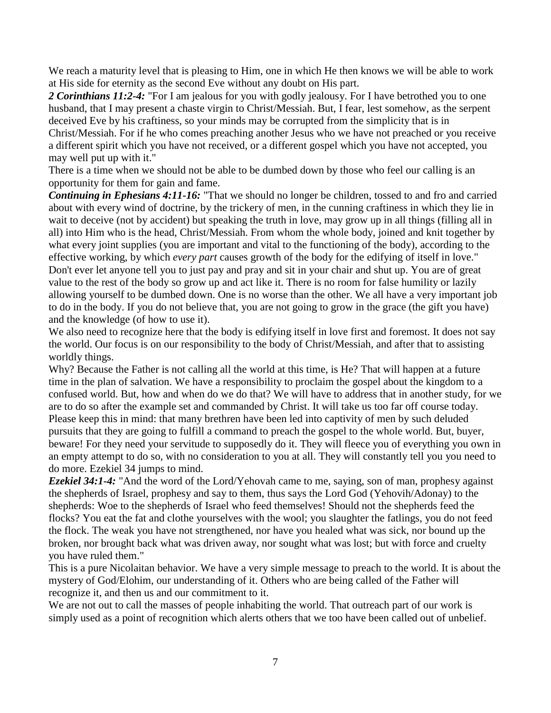We reach a maturity level that is pleasing to Him, one in which He then knows we will be able to work at His side for eternity as the second Eve without any doubt on His part.

*2 Corinthians 11:2-4:* "For I am jealous for you with godly jealousy. For I have betrothed you to one husband, that I may present a chaste virgin to Christ/Messiah. But, I fear, lest somehow, as the serpent deceived Eve by his craftiness, so your minds may be corrupted from the simplicity that is in Christ/Messiah. For if he who comes preaching another Jesus who we have not preached or you receive a different spirit which you have not received, or a different gospel which you have not accepted, you may well put up with it."

There is a time when we should not be able to be dumbed down by those who feel our calling is an opportunity for them for gain and fame.

*Continuing in Ephesians 4:11-16:* "That we should no longer be children, tossed to and fro and carried about with every wind of doctrine, by the trickery of men, in the cunning craftiness in which they lie in wait to deceive (not by accident) but speaking the truth in love, may grow up in all things (filling all in all) into Him who is the head, Christ/Messiah. From whom the whole body, joined and knit together by what every joint supplies (you are important and vital to the functioning of the body), according to the effective working, by which *every part* causes growth of the body for the edifying of itself in love." Don't ever let anyone tell you to just pay and pray and sit in your chair and shut up. You are of great value to the rest of the body so grow up and act like it. There is no room for false humility or lazily allowing yourself to be dumbed down. One is no worse than the other. We all have a very important job to do in the body. If you do not believe that, you are not going to grow in the grace (the gift you have) and the knowledge (of how to use it).

We also need to recognize here that the body is edifying itself in love first and foremost. It does not say the world. Our focus is on our responsibility to the body of Christ/Messiah, and after that to assisting worldly things.

Why? Because the Father is not calling all the world at this time, is He? That will happen at a future time in the plan of salvation. We have a responsibility to proclaim the gospel about the kingdom to a confused world. But, how and when do we do that? We will have to address that in another study, for we are to do so after the example set and commanded by Christ. It will take us too far off course today. Please keep this in mind: that many brethren have been led into captivity of men by such deluded pursuits that they are going to fulfill a command to preach the gospel to the whole world. But, buyer, beware! For they need your servitude to supposedly do it. They will fleece you of everything you own in an empty attempt to do so, with no consideration to you at all. They will constantly tell you you need to do more. Ezekiel 34 jumps to mind.

*Ezekiel 34:1-4:* "And the word of the Lord/Yehovah came to me, saying, son of man, prophesy against the shepherds of Israel, prophesy and say to them, thus says the Lord God (Yehovih/Adonay) to the shepherds: Woe to the shepherds of Israel who feed themselves! Should not the shepherds feed the flocks? You eat the fat and clothe yourselves with the wool; you slaughter the fatlings, you do not feed the flock. The weak you have not strengthened, nor have you healed what was sick, nor bound up the broken, nor brought back what was driven away, nor sought what was lost; but with force and cruelty you have ruled them."

This is a pure Nicolaitan behavior. We have a very simple message to preach to the world. It is about the mystery of God/Elohim, our understanding of it. Others who are being called of the Father will recognize it, and then us and our commitment to it.

We are not out to call the masses of people inhabiting the world. That outreach part of our work is simply used as a point of recognition which alerts others that we too have been called out of unbelief.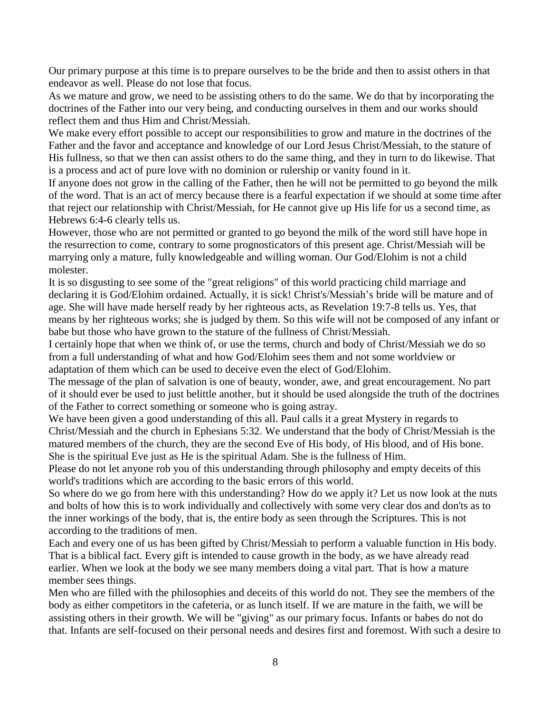Our primary purpose at this time is to prepare ourselves to be the bride and then to assist others in that endeavor as well. Please do not lose that focus.

As we mature and grow, we need to be assisting others to do the same. We do that by incorporating the doctrines of the Father into our very being, and conducting ourselves in them and our works should reflect them and thus Him and Christ/Messiah.

We make every effort possible to accept our responsibilities to grow and mature in the doctrines of the Father and the favor and acceptance and knowledge of our Lord Jesus Christ/Messiah, to the stature of His fullness, so that we then can assist others to do the same thing, and they in turn to do likewise. That is a process and act of pure love with no dominion or rulership or vanity found in it.

If anyone does not grow in the calling of the Father, then he will not be permitted to go beyond the milk of the word. That is an act of mercy because there is a fearful expectation if we should at some time after that reject our relationship with Christ/Messiah, for He cannot give up His life for us a second time, as Hebrews 6:4-6 clearly tells us.

However, those who are not permitted or granted to go beyond the milk of the word still have hope in the resurrection to come, contrary to some prognosticators of this present age. Christ/Messiah will be marrying only a mature, fully knowledgeable and willing woman. Our God/Elohim is not a child molester.

It is so disgusting to see some of the "great religions" of this world practicing child marriage and declaring it is God/Elohim ordained. Actually, it is sick! Christ's/Messiah's bride will be mature and of age. She will have made herself ready by her righteous acts, as Revelation 19:7-8 tells us. Yes, that means by her righteous works; she is judged by them. So this wife will not be composed of any infant or babe but those who have grown to the stature of the fullness of Christ/Messiah.

I certainly hope that when we think of, or use the terms, church and body of Christ/Messiah we do so from a full understanding of what and how God/Elohim sees them and not some worldview or adaptation of them which can be used to deceive even the elect of God/Elohim.

The message of the plan of salvation is one of beauty, wonder, awe, and great encouragement. No part of it should ever be used to just belittle another, but it should be used alongside the truth of the doctrines of the Father to correct something or someone who is going astray.

We have been given a good understanding of this all. Paul calls it a great Mystery in regards to Christ/Messiah and the church in Ephesians 5:32. We understand that the body of Christ/Messiah is the matured members of the church, they are the second Eve of His body, of His blood, and of His bone. She is the spiritual Eve just as He is the spiritual Adam. She is the fullness of Him.

Please do not let anyone rob you of this understanding through philosophy and empty deceits of this world's traditions which are according to the basic errors of this world.

So where do we go from here with this understanding? How do we apply it? Let us now look at the nuts and bolts of how this is to work individually and collectively with some very clear dos and don'ts as to the inner workings of the body, that is, the entire body as seen through the Scriptures. This is not according to the traditions of men.

Each and every one of us has been gifted by Christ/Messiah to perform a valuable function in His body. That is a biblical fact. Every gift is intended to cause growth in the body, as we have already read earlier. When we look at the body we see many members doing a vital part. That is how a mature member sees things.

Men who are filled with the philosophies and deceits of this world do not. They see the members of the body as either competitors in the cafeteria, or as lunch itself. If we are mature in the faith, we will be assisting others in their growth. We will be "giving" as our primary focus. Infants or babes do not do that. Infants are self-focused on their personal needs and desires first and foremost. With such a desire to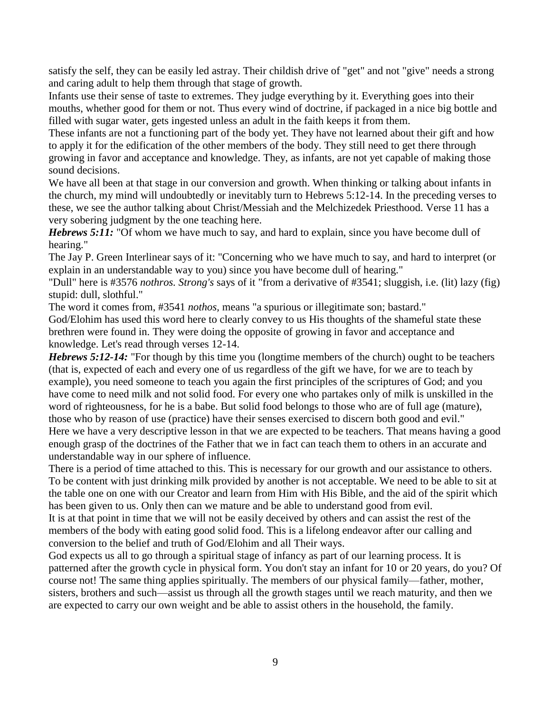satisfy the self, they can be easily led astray. Their childish drive of "get" and not "give" needs a strong and caring adult to help them through that stage of growth.

Infants use their sense of taste to extremes. They judge everything by it. Everything goes into their mouths, whether good for them or not. Thus every wind of doctrine, if packaged in a nice big bottle and filled with sugar water, gets ingested unless an adult in the faith keeps it from them.

These infants are not a functioning part of the body yet. They have not learned about their gift and how to apply it for the edification of the other members of the body. They still need to get there through growing in favor and acceptance and knowledge. They, as infants, are not yet capable of making those sound decisions.

We have all been at that stage in our conversion and growth. When thinking or talking about infants in the church, my mind will undoubtedly or inevitably turn to Hebrews 5:12-14. In the preceding verses to these, we see the author talking about Christ/Messiah and the Melchizedek Priesthood. Verse 11 has a very sobering judgment by the one teaching here.

*Hebrews 5:11:* "Of whom we have much to say, and hard to explain, since you have become dull of hearing."

The Jay P. Green Interlinear says of it: "Concerning who we have much to say, and hard to interpret (or explain in an understandable way to you) since you have become dull of hearing."

"Dull" here is #3576 *nothros. Strong's* says of it "from a derivative of #3541; sluggish, i.e. (lit) lazy (fig) stupid: dull, slothful."

The word it comes from, #3541 *nothos,* means "a spurious or illegitimate son; bastard."

God/Elohim has used this word here to clearly convey to us His thoughts of the shameful state these brethren were found in. They were doing the opposite of growing in favor and acceptance and knowledge. Let's read through verses 12-14.

*Hebrews 5:12-14:* "For though by this time you (longtime members of the church) ought to be teachers (that is, expected of each and every one of us regardless of the gift we have, for we are to teach by example), you need someone to teach you again the first principles of the scriptures of God; and you have come to need milk and not solid food. For every one who partakes only of milk is unskilled in the word of righteousness, for he is a babe. But solid food belongs to those who are of full age (mature), those who by reason of use (practice) have their senses exercised to discern both good and evil." Here we have a very descriptive lesson in that we are expected to be teachers. That means having a good enough grasp of the doctrines of the Father that we in fact can teach them to others in an accurate and understandable way in our sphere of influence.

There is a period of time attached to this. This is necessary for our growth and our assistance to others. To be content with just drinking milk provided by another is not acceptable. We need to be able to sit at the table one on one with our Creator and learn from Him with His Bible, and the aid of the spirit which has been given to us. Only then can we mature and be able to understand good from evil.

It is at that point in time that we will not be easily deceived by others and can assist the rest of the members of the body with eating good solid food. This is a lifelong endeavor after our calling and conversion to the belief and truth of God/Elohim and all Their ways.

God expects us all to go through a spiritual stage of infancy as part of our learning process. It is patterned after the growth cycle in physical form. You don't stay an infant for 10 or 20 years, do you? Of course not! The same thing applies spiritually. The members of our physical family—father, mother, sisters, brothers and such—assist us through all the growth stages until we reach maturity, and then we are expected to carry our own weight and be able to assist others in the household, the family.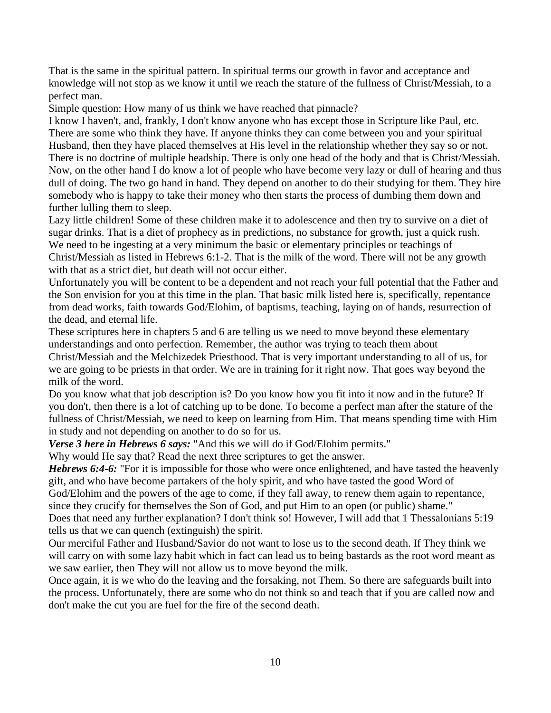That is the same in the spiritual pattern. In spiritual terms our growth in favor and acceptance and knowledge will not stop as we know it until we reach the stature of the fullness of Christ/Messiah, to a perfect man.

Simple question: How many of us think we have reached that pinnacle?

I know I haven't, and, frankly, I don't know anyone who has except those in Scripture like Paul, etc. There are some who think they have. If anyone thinks they can come between you and your spiritual Husband, then they have placed themselves at His level in the relationship whether they say so or not. There is no doctrine of multiple headship. There is only one head of the body and that is Christ/Messiah. Now, on the other hand I do know a lot of people who have become very lazy or dull of hearing and thus dull of doing. The two go hand in hand. They depend on another to do their studying for them. They hire somebody who is happy to take their money who then starts the process of dumbing them down and further lulling them to sleep.

Lazy little children! Some of these children make it to adolescence and then try to survive on a diet of sugar drinks. That is a diet of prophecy as in predictions, no substance for growth, just a quick rush. We need to be ingesting at a very minimum the basic or elementary principles or teachings of Christ/Messiah as listed in Hebrews 6:1-2. That is the milk of the word. There will not be any growth with that as a strict diet, but death will not occur either.

Unfortunately you will be content to be a dependent and not reach your full potential that the Father and the Son envision for you at this time in the plan. That basic milk listed here is, specifically, repentance from dead works, faith towards God/Elohim, of baptisms, teaching, laying on of hands, resurrection of the dead, and eternal life.

These scriptures here in chapters 5 and 6 are telling us we need to move beyond these elementary understandings and onto perfection. Remember, the author was trying to teach them about Christ/Messiah and the Melchizedek Priesthood. That is very important understanding to all of us, for we are going to be priests in that order. We are in training for it right now. That goes way beyond the milk of the word.

Do you know what that job description is? Do you know how you fit into it now and in the future? If you don't, then there is a lot of catching up to be done. To become a perfect man after the stature of the fullness of Christ/Messiah, we need to keep on learning from Him. That means spending time with Him in study and not depending on another to do so for us.

*Verse 3 here in Hebrews 6 says:* "And this we will do if God/Elohim permits."

Why would He say that? Read the next three scriptures to get the answer.

*Hebrews 6:4-6:* "For it is impossible for those who were once enlightened, and have tasted the heavenly gift, and who have become partakers of the holy spirit, and who have tasted the good Word of

God/Elohim and the powers of the age to come, if they fall away, to renew them again to repentance, since they crucify for themselves the Son of God, and put Him to an open (or public) shame."

Does that need any further explanation? I don't think so! However, I will add that 1 Thessalonians 5:19 tells us that we can quench (extinguish) the spirit.

Our merciful Father and Husband/Savior do not want to lose us to the second death. If They think we will carry on with some lazy habit which in fact can lead us to being bastards as the root word meant as we saw earlier, then They will not allow us to move beyond the milk.

Once again, it is we who do the leaving and the forsaking, not Them. So there are safeguards built into the process. Unfortunately, there are some who do not think so and teach that if you are called now and don't make the cut you are fuel for the fire of the second death.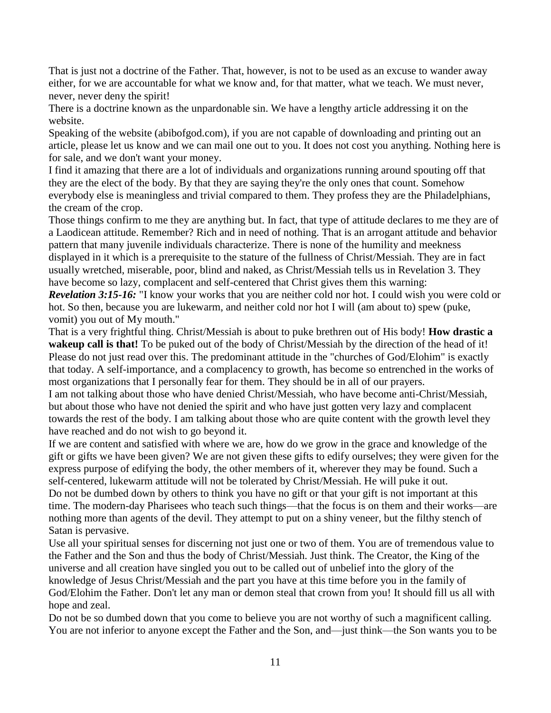That is just not a doctrine of the Father. That, however, is not to be used as an excuse to wander away either, for we are accountable for what we know and, for that matter, what we teach. We must never, never, never deny the spirit!

There is a doctrine known as the unpardonable sin. We have a lengthy article addressing it on the website.

Speaking of the website (abibofgod.com), if you are not capable of downloading and printing out an article, please let us know and we can mail one out to you. It does not cost you anything. Nothing here is for sale, and we don't want your money.

I find it amazing that there are a lot of individuals and organizations running around spouting off that they are the elect of the body. By that they are saying they're the only ones that count. Somehow everybody else is meaningless and trivial compared to them. They profess they are the Philadelphians, the cream of the crop.

Those things confirm to me they are anything but. In fact, that type of attitude declares to me they are of a Laodicean attitude. Remember? Rich and in need of nothing. That is an arrogant attitude and behavior pattern that many juvenile individuals characterize. There is none of the humility and meekness displayed in it which is a prerequisite to the stature of the fullness of Christ/Messiah. They are in fact usually wretched, miserable, poor, blind and naked, as Christ/Messiah tells us in Revelation 3. They have become so lazy, complacent and self-centered that Christ gives them this warning:

*Revelation 3:15-16:* "I know your works that you are neither cold nor hot. I could wish you were cold or hot. So then, because you are lukewarm, and neither cold nor hot I will (am about to) spew (puke, vomit) you out of My mouth."

That is a very frightful thing. Christ/Messiah is about to puke brethren out of His body! **How drastic a wakeup call is that!** To be puked out of the body of Christ/Messiah by the direction of the head of it! Please do not just read over this. The predominant attitude in the "churches of God/Elohim" is exactly that today. A self-importance, and a complacency to growth, has become so entrenched in the works of most organizations that I personally fear for them. They should be in all of our prayers.

I am not talking about those who have denied Christ/Messiah, who have become anti-Christ/Messiah, but about those who have not denied the spirit and who have just gotten very lazy and complacent towards the rest of the body. I am talking about those who are quite content with the growth level they have reached and do not wish to go beyond it.

If we are content and satisfied with where we are, how do we grow in the grace and knowledge of the gift or gifts we have been given? We are not given these gifts to edify ourselves; they were given for the express purpose of edifying the body, the other members of it, wherever they may be found. Such a self-centered, lukewarm attitude will not be tolerated by Christ/Messiah. He will puke it out. Do not be dumbed down by others to think you have no gift or that your gift is not important at this time. The modern-day Pharisees who teach such things—that the focus is on them and their works—are nothing more than agents of the devil. They attempt to put on a shiny veneer, but the filthy stench of Satan is pervasive.

Use all your spiritual senses for discerning not just one or two of them. You are of tremendous value to the Father and the Son and thus the body of Christ/Messiah. Just think. The Creator, the King of the universe and all creation have singled you out to be called out of unbelief into the glory of the knowledge of Jesus Christ/Messiah and the part you have at this time before you in the family of God/Elohim the Father. Don't let any man or demon steal that crown from you! It should fill us all with hope and zeal.

Do not be so dumbed down that you come to believe you are not worthy of such a magnificent calling. You are not inferior to anyone except the Father and the Son, and—just think—the Son wants you to be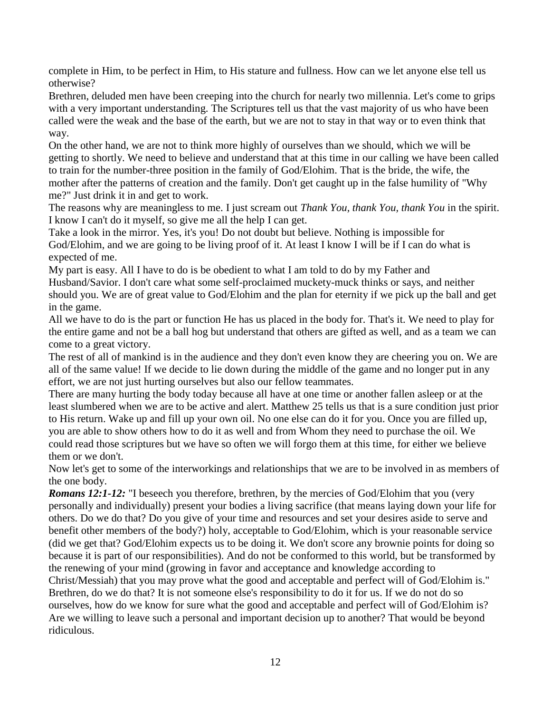complete in Him, to be perfect in Him, to His stature and fullness. How can we let anyone else tell us otherwise?

Brethren, deluded men have been creeping into the church for nearly two millennia. Let's come to grips with a very important understanding. The Scriptures tell us that the vast majority of us who have been called were the weak and the base of the earth, but we are not to stay in that way or to even think that way.

On the other hand, we are not to think more highly of ourselves than we should, which we will be getting to shortly. We need to believe and understand that at this time in our calling we have been called to train for the number-three position in the family of God/Elohim. That is the bride, the wife, the mother after the patterns of creation and the family. Don't get caught up in the false humility of "Why me?" Just drink it in and get to work.

The reasons why are meaningless to me. I just scream out *Thank You, thank You, thank You* in the spirit. I know I can't do it myself, so give me all the help I can get.

Take a look in the mirror. Yes, it's you! Do not doubt but believe. Nothing is impossible for God/Elohim, and we are going to be living proof of it. At least I know I will be if I can do what is expected of me.

My part is easy. All I have to do is be obedient to what I am told to do by my Father and Husband/Savior. I don't care what some self-proclaimed muckety-muck thinks or says, and neither should you. We are of great value to God/Elohim and the plan for eternity if we pick up the ball and get in the game.

All we have to do is the part or function He has us placed in the body for. That's it. We need to play for the entire game and not be a ball hog but understand that others are gifted as well, and as a team we can come to a great victory.

The rest of all of mankind is in the audience and they don't even know they are cheering you on. We are all of the same value! If we decide to lie down during the middle of the game and no longer put in any effort, we are not just hurting ourselves but also our fellow teammates.

There are many hurting the body today because all have at one time or another fallen asleep or at the least slumbered when we are to be active and alert. Matthew 25 tells us that is a sure condition just prior to His return. Wake up and fill up your own oil. No one else can do it for you. Once you are filled up, you are able to show others how to do it as well and from Whom they need to purchase the oil. We could read those scriptures but we have so often we will forgo them at this time, for either we believe them or we don't.

Now let's get to some of the interworkings and relationships that we are to be involved in as members of the one body.

*Romans 12:1-12:* "I beseech you therefore, brethren, by the mercies of God/Elohim that you (very personally and individually) present your bodies a living sacrifice (that means laying down your life for others. Do we do that? Do you give of your time and resources and set your desires aside to serve and benefit other members of the body?) holy, acceptable to God/Elohim, which is your reasonable service (did we get that? God/Elohim expects us to be doing it. We don't score any brownie points for doing so because it is part of our responsibilities). And do not be conformed to this world, but be transformed by the renewing of your mind (growing in favor and acceptance and knowledge according to Christ/Messiah) that you may prove what the good and acceptable and perfect will of God/Elohim is."

Brethren, do we do that? It is not someone else's responsibility to do it for us. If we do not do so ourselves, how do we know for sure what the good and acceptable and perfect will of God/Elohim is? Are we willing to leave such a personal and important decision up to another? That would be beyond ridiculous.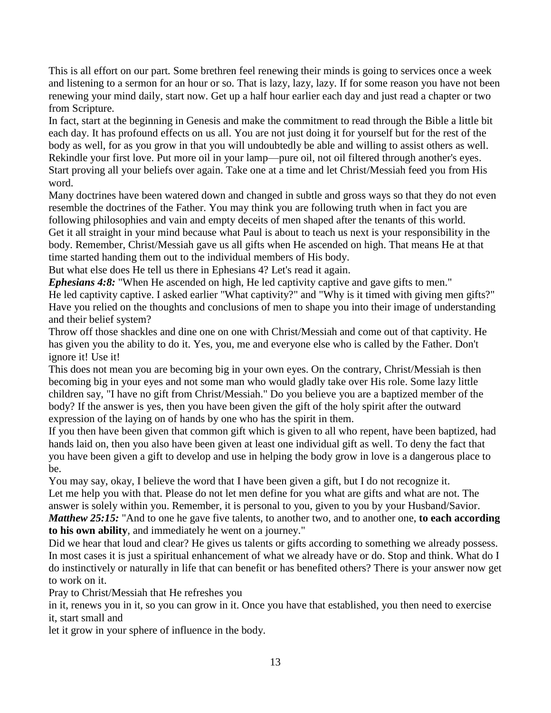This is all effort on our part*.* Some brethren feel renewing their minds is going to services once a week and listening to a sermon for an hour or so. That is lazy, lazy, lazy. If for some reason you have not been renewing your mind daily, start now. Get up a half hour earlier each day and just read a chapter or two from Scripture.

In fact, start at the beginning in Genesis and make the commitment to read through the Bible a little bit each day. It has profound effects on us all. You are not just doing it for yourself but for the rest of the body as well, for as you grow in that you will undoubtedly be able and willing to assist others as well. Rekindle your first love. Put more oil in your lamp—pure oil, not oil filtered through another's eyes. Start proving all your beliefs over again. Take one at a time and let Christ/Messiah feed you from His word.

Many doctrines have been watered down and changed in subtle and gross ways so that they do not even resemble the doctrines of the Father. You may think you are following truth when in fact you are following philosophies and vain and empty deceits of men shaped after the tenants of this world. Get it all straight in your mind because what Paul is about to teach us next is your responsibility in the body. Remember, Christ/Messiah gave us all gifts when He ascended on high. That means He at that time started handing them out to the individual members of His body.

But what else does He tell us there in Ephesians 4? Let's read it again.

*Ephesians 4:8:* "When He ascended on high, He led captivity captive and gave gifts to men." He led captivity captive. I asked earlier "What captivity?" and "Why is it timed with giving men gifts?" Have you relied on the thoughts and conclusions of men to shape you into their image of understanding and their belief system?

Throw off those shackles and dine one on one with Christ/Messiah and come out of that captivity. He has given you the ability to do it. Yes, you, me and everyone else who is called by the Father. Don't ignore it! Use it!

This does not mean you are becoming big in your own eyes. On the contrary, Christ/Messiah is then becoming big in your eyes and not some man who would gladly take over His role. Some lazy little children say, "I have no gift from Christ/Messiah." Do you believe you are a baptized member of the body? If the answer is yes, then you have been given the gift of the holy spirit after the outward expression of the laying on of hands by one who has the spirit in them.

If you then have been given that common gift which is given to all who repent, have been baptized, had hands laid on, then you also have been given at least one individual gift as well. To deny the fact that you have been given a gift to develop and use in helping the body grow in love is a dangerous place to be.

You may say, okay, I believe the word that I have been given a gift, but I do not recognize it. Let me help you with that. Please do not let men define for you what are gifts and what are not. The answer is solely within you. Remember, it is personal to you, given to you by your Husband/Savior. *Matthew 25:15:* "And to one he gave five talents, to another two, and to another one, **to each according to his own ability***,* and immediately he went on a journey."

Did we hear that loud and clear? He gives us talents or gifts according to something we already possess. In most cases it is just a spiritual enhancement of what we already have or do. Stop and think. What do I do instinctively or naturally in life that can benefit or has benefited others? There is your answer now get to work on it.

Pray to Christ/Messiah that He refreshes you

in it, renews you in it, so you can grow in it. Once you have that established, you then need to exercise it, start small and

let it grow in your sphere of influence in the body.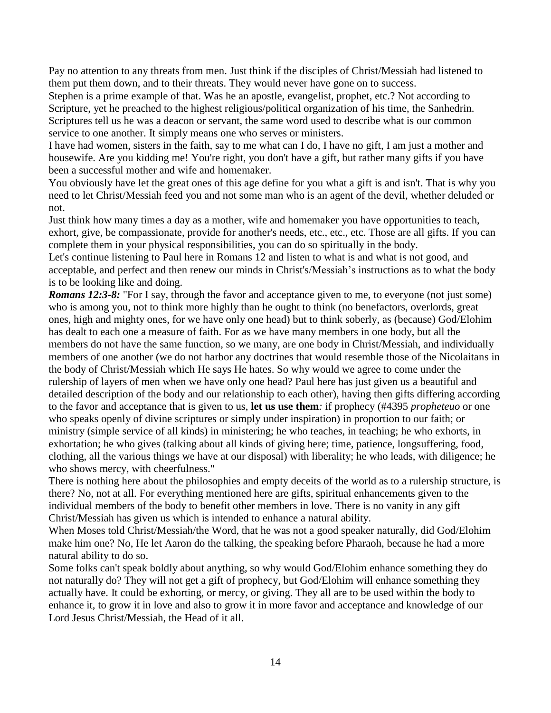Pay no attention to any threats from men. Just think if the disciples of Christ/Messiah had listened to them put them down, and to their threats. They would never have gone on to success.

Stephen is a prime example of that. Was he an apostle, evangelist, prophet, etc.? Not according to Scripture, yet he preached to the highest religious/political organization of his time, the Sanhedrin. Scriptures tell us he was a deacon or servant, the same word used to describe what is our common service to one another. It simply means one who serves or ministers.

I have had women, sisters in the faith, say to me what can I do, I have no gift, I am just a mother and housewife. Are you kidding me! You're right, you don't have a gift, but rather many gifts if you have been a successful mother and wife and homemaker.

You obviously have let the great ones of this age define for you what a gift is and isn't. That is why you need to let Christ/Messiah feed you and not some man who is an agent of the devil, whether deluded or not.

Just think how many times a day as a mother, wife and homemaker you have opportunities to teach, exhort, give, be compassionate, provide for another's needs, etc., etc., etc. Those are all gifts. If you can complete them in your physical responsibilities, you can do so spiritually in the body.

Let's continue listening to Paul here in Romans 12 and listen to what is and what is not good, and acceptable, and perfect and then renew our minds in Christ's/Messiah's instructions as to what the body is to be looking like and doing.

**Romans 12:3-8:** "For I say, through the favor and acceptance given to me, to everyone (not just some) who is among you, not to think more highly than he ought to think (no benefactors, overlords, great ones, high and mighty ones, for we have only one head) but to think soberly, as (because) God/Elohim has dealt to each one a measure of faith. For as we have many members in one body, but all the members do not have the same function, so we many, are one body in Christ/Messiah, and individually members of one another (we do not harbor any doctrines that would resemble those of the Nicolaitans in the body of Christ/Messiah which He says He hates. So why would we agree to come under the rulership of layers of men when we have only one head? Paul here has just given us a beautiful and detailed description of the body and our relationship to each other), having then gifts differing according to the favor and acceptance that is given to us, **let us use them***:* if prophecy (#4395 *propheteuo* or one who speaks openly of divine scriptures or simply under inspiration) in proportion to our faith; or ministry (simple service of all kinds) in ministering; he who teaches, in teaching; he who exhorts, in exhortation; he who gives (talking about all kinds of giving here; time, patience, longsuffering, food, clothing, all the various things we have at our disposal) with liberality; he who leads, with diligence; he who shows mercy, with cheerfulness."

There is nothing here about the philosophies and empty deceits of the world as to a rulership structure, is there? No, not at all. For everything mentioned here are gifts, spiritual enhancements given to the individual members of the body to benefit other members in love. There is no vanity in any gift Christ/Messiah has given us which is intended to enhance a natural ability.

When Moses told Christ/Messiah/the Word, that he was not a good speaker naturally, did God/Elohim make him one? No, He let Aaron do the talking, the speaking before Pharaoh, because he had a more natural ability to do so.

Some folks can't speak boldly about anything, so why would God/Elohim enhance something they do not naturally do? They will not get a gift of prophecy, but God/Elohim will enhance something they actually have. It could be exhorting, or mercy, or giving. They all are to be used within the body to enhance it, to grow it in love and also to grow it in more favor and acceptance and knowledge of our Lord Jesus Christ/Messiah, the Head of it all.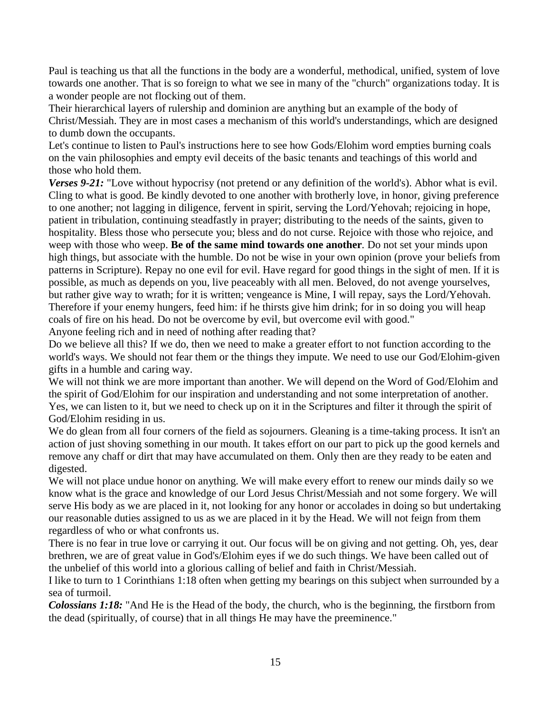Paul is teaching us that all the functions in the body are a wonderful, methodical, unified, system of love towards one another. That is so foreign to what we see in many of the "church" organizations today. It is a wonder people are not flocking out of them.

Their hierarchical layers of rulership and dominion are anything but an example of the body of Christ/Messiah. They are in most cases a mechanism of this world's understandings, which are designed to dumb down the occupants.

Let's continue to listen to Paul's instructions here to see how Gods/Elohim word empties burning coals on the vain philosophies and empty evil deceits of the basic tenants and teachings of this world and those who hold them.

*Verses 9-21:* "Love without hypocrisy (not pretend or any definition of the world's). Abhor what is evil. Cling to what is good. Be kindly devoted to one another with brotherly love, in honor, giving preference to one another; not lagging in diligence, fervent in spirit, serving the Lord/Yehovah; rejoicing in hope, patient in tribulation, continuing steadfastly in prayer; distributing to the needs of the saints, given to hospitality. Bless those who persecute you; bless and do not curse. Rejoice with those who rejoice, and weep with those who weep. **Be of the same mind towards one another***.* Do not set your minds upon high things, but associate with the humble. Do not be wise in your own opinion (prove your beliefs from patterns in Scripture). Repay no one evil for evil. Have regard for good things in the sight of men. If it is possible, as much as depends on you, live peaceably with all men. Beloved, do not avenge yourselves, but rather give way to wrath; for it is written; vengeance is Mine, I will repay, says the Lord/Yehovah. Therefore if your enemy hungers, feed him: if he thirsts give him drink; for in so doing you will heap coals of fire on his head. Do not be overcome by evil, but overcome evil with good."

Anyone feeling rich and in need of nothing after reading that?

Do we believe all this? If we do, then we need to make a greater effort to not function according to the world's ways. We should not fear them or the things they impute. We need to use our God/Elohim-given gifts in a humble and caring way.

We will not think we are more important than another. We will depend on the Word of God/Elohim and the spirit of God/Elohim for our inspiration and understanding and not some interpretation of another. Yes, we can listen to it, but we need to check up on it in the Scriptures and filter it through the spirit of God/Elohim residing in us.

We do glean from all four corners of the field as sojourners. Gleaning is a time-taking process. It isn't an action of just shoving something in our mouth. It takes effort on our part to pick up the good kernels and remove any chaff or dirt that may have accumulated on them. Only then are they ready to be eaten and digested.

We will not place undue honor on anything. We will make every effort to renew our minds daily so we know what is the grace and knowledge of our Lord Jesus Christ/Messiah and not some forgery. We will serve His body as we are placed in it, not looking for any honor or accolades in doing so but undertaking our reasonable duties assigned to us as we are placed in it by the Head. We will not feign from them regardless of who or what confronts us.

There is no fear in true love or carrying it out. Our focus will be on giving and not getting. Oh, yes, dear brethren, we are of great value in God's/Elohim eyes if we do such things. We have been called out of the unbelief of this world into a glorious calling of belief and faith in Christ/Messiah.

I like to turn to 1 Corinthians 1:18 often when getting my bearings on this subject when surrounded by a sea of turmoil.

*Colossians 1:18:* "And He is the Head of the body, the church, who is the beginning, the firstborn from the dead (spiritually, of course) that in all things He may have the preeminence."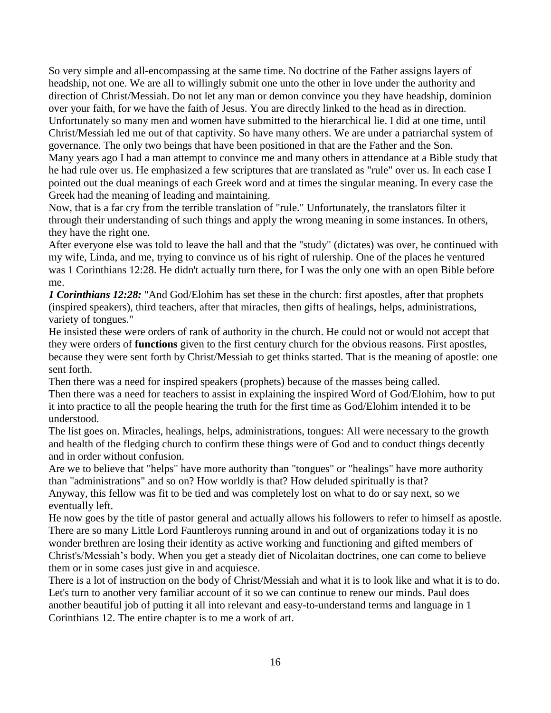So very simple and all-encompassing at the same time. No doctrine of the Father assigns layers of headship, not one. We are all to willingly submit one unto the other in love under the authority and direction of Christ/Messiah. Do not let any man or demon convince you they have headship, dominion over your faith, for we have the faith of Jesus. You are directly linked to the head as in direction. Unfortunately so many men and women have submitted to the hierarchical lie. I did at one time, until Christ/Messiah led me out of that captivity. So have many others. We are under a patriarchal system of governance. The only two beings that have been positioned in that are the Father and the Son. Many years ago I had a man attempt to convince me and many others in attendance at a Bible study that he had rule over us. He emphasized a few scriptures that are translated as "rule" over us. In each case I pointed out the dual meanings of each Greek word and at times the singular meaning. In every case the Greek had the meaning of leading and maintaining.

Now, that is a far cry from the terrible translation of "rule." Unfortunately, the translators filter it through their understanding of such things and apply the wrong meaning in some instances. In others, they have the right one.

After everyone else was told to leave the hall and that the "study" (dictates) was over, he continued with my wife, Linda, and me, trying to convince us of his right of rulership. One of the places he ventured was 1 Corinthians 12:28. He didn't actually turn there, for I was the only one with an open Bible before me.

*1 Corinthians 12:28:* "And God/Elohim has set these in the church: first apostles, after that prophets (inspired speakers), third teachers, after that miracles, then gifts of healings, helps, administrations, variety of tongues."

He insisted these were orders of rank of authority in the church. He could not or would not accept that they were orders of **functions** given to the first century church for the obvious reasons. First apostles, because they were sent forth by Christ/Messiah to get thinks started. That is the meaning of apostle: one sent forth.

Then there was a need for inspired speakers (prophets) because of the masses being called. Then there was a need for teachers to assist in explaining the inspired Word of God/Elohim, how to put it into practice to all the people hearing the truth for the first time as God/Elohim intended it to be understood.

The list goes on. Miracles, healings, helps, administrations, tongues: All were necessary to the growth and health of the fledging church to confirm these things were of God and to conduct things decently and in order without confusion.

Are we to believe that "helps" have more authority than "tongues" or "healings" have more authority than "administrations" and so on? How worldly is that? How deluded spiritually is that? Anyway, this fellow was fit to be tied and was completely lost on what to do or say next, so we eventually left.

He now goes by the title of pastor general and actually allows his followers to refer to himself as apostle. There are so many Little Lord Fauntleroys running around in and out of organizations today it is no wonder brethren are losing their identity as active working and functioning and gifted members of Christ's/Messiah's body. When you get a steady diet of Nicolaitan doctrines, one can come to believe them or in some cases just give in and acquiesce.

There is a lot of instruction on the body of Christ/Messiah and what it is to look like and what it is to do. Let's turn to another very familiar account of it so we can continue to renew our minds. Paul does another beautiful job of putting it all into relevant and easy-to-understand terms and language in 1 Corinthians 12. The entire chapter is to me a work of art.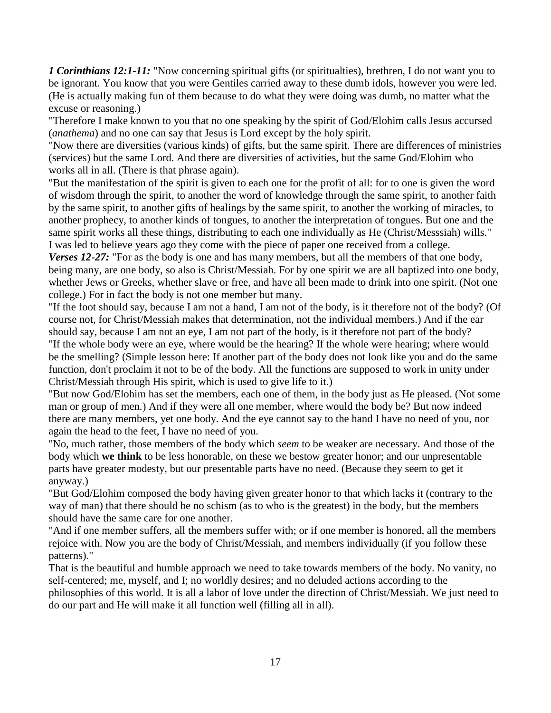*1 Corinthians 12:1-11:* "Now concerning spiritual gifts (or spiritualties), brethren, I do not want you to be ignorant. You know that you were Gentiles carried away to these dumb idols, however you were led. (He is actually making fun of them because to do what they were doing was dumb, no matter what the excuse or reasoning.)

"Therefore I make known to you that no one speaking by the spirit of God/Elohim calls Jesus accursed (*anathema*) and no one can say that Jesus is Lord except by the holy spirit.

"Now there are diversities (various kinds) of gifts, but the same spirit. There are differences of ministries (services) but the same Lord. And there are diversities of activities, but the same God/Elohim who works all in all. (There is that phrase again).

"But the manifestation of the spirit is given to each one for the profit of all: for to one is given the word of wisdom through the spirit, to another the word of knowledge through the same spirit, to another faith by the same spirit, to another gifts of healings by the same spirit, to another the working of miracles, to another prophecy, to another kinds of tongues, to another the interpretation of tongues. But one and the same spirit works all these things, distributing to each one individually as He (Christ/Messsiah) wills." I was led to believe years ago they come with the piece of paper one received from a college.

*Verses 12-27:* "For as the body is one and has many members, but all the members of that one body, being many, are one body, so also is Christ/Messiah. For by one spirit we are all baptized into one body, whether Jews or Greeks, whether slave or free, and have all been made to drink into one spirit. (Not one college.) For in fact the body is not one member but many.

"If the foot should say, because I am not a hand, I am not of the body, is it therefore not of the body? (Of course not, for Christ/Messiah makes that determination, not the individual members.) And if the ear should say, because I am not an eye, I am not part of the body, is it therefore not part of the body? "If the whole body were an eye, where would be the hearing? If the whole were hearing; where would be the smelling? (Simple lesson here: If another part of the body does not look like you and do the same function, don't proclaim it not to be of the body. All the functions are supposed to work in unity under

Christ/Messiah through His spirit, which is used to give life to it.)

"But now God/Elohim has set the members, each one of them, in the body just as He pleased. (Not some man or group of men.) And if they were all one member, where would the body be? But now indeed there are many members, yet one body. And the eye cannot say to the hand I have no need of you, nor again the head to the feet, I have no need of you.

"No, much rather, those members of the body which *seem* to be weaker are necessary. And those of the body which **we think** to be less honorable, on these we bestow greater honor; and our unpresentable parts have greater modesty, but our presentable parts have no need. (Because they seem to get it anyway.)

"But God/Elohim composed the body having given greater honor to that which lacks it (contrary to the way of man) that there should be no schism (as to who is the greatest) in the body, but the members should have the same care for one another.

"And if one member suffers, all the members suffer with; or if one member is honored, all the members rejoice with. Now you are the body of Christ/Messiah, and members individually (if you follow these patterns)."

That is the beautiful and humble approach we need to take towards members of the body. No vanity, no self-centered; me, myself, and I; no worldly desires; and no deluded actions according to the philosophies of this world. It is all a labor of love under the direction of Christ/Messiah. We just need to do our part and He will make it all function well (filling all in all).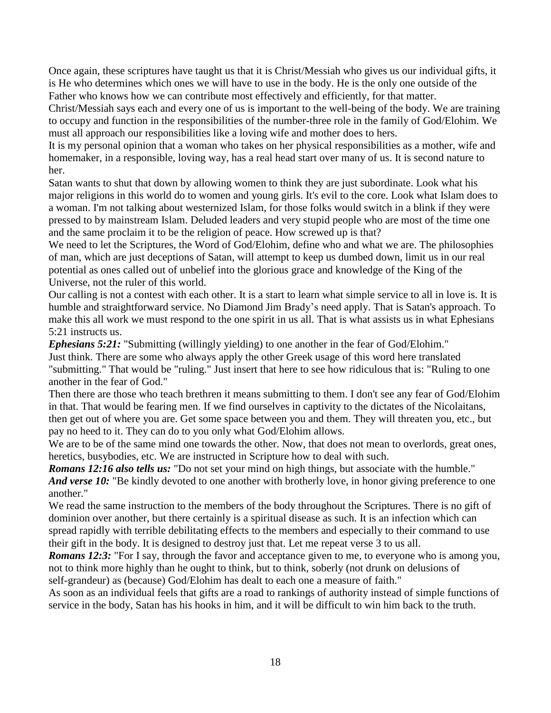Once again, these scriptures have taught us that it is Christ/Messiah who gives us our individual gifts, it is He who determines which ones we will have to use in the body. He is the only one outside of the Father who knows how we can contribute most effectively and efficiently, for that matter.

Christ/Messiah says each and every one of us is important to the well-being of the body. We are training to occupy and function in the responsibilities of the number-three role in the family of God/Elohim. We must all approach our responsibilities like a loving wife and mother does to hers.

It is my personal opinion that a woman who takes on her physical responsibilities as a mother, wife and homemaker, in a responsible, loving way, has a real head start over many of us. It is second nature to her.

Satan wants to shut that down by allowing women to think they are just subordinate. Look what his major religions in this world do to women and young girls. It's evil to the core. Look what Islam does to a woman. I'm not talking about westernized Islam, for those folks would switch in a blink if they were pressed to by mainstream Islam. Deluded leaders and very stupid people who are most of the time one and the same proclaim it to be the religion of peace. How screwed up is that?

We need to let the Scriptures, the Word of God/Elohim, define who and what we are. The philosophies of man, which are just deceptions of Satan, will attempt to keep us dumbed down, limit us in our real potential as ones called out of unbelief into the glorious grace and knowledge of the King of the Universe, not the ruler of this world.

Our calling is not a contest with each other. It is a start to learn what simple service to all in love is. It is humble and straightforward service. No Diamond Jim Brady's need apply. That is Satan's approach. To make this all work we must respond to the one spirit in us all. That is what assists us in what Ephesians 5:21 instructs us.

*Ephesians 5:21:* "Submitting (willingly yielding) to one another in the fear of God/Elohim." Just think. There are some who always apply the other Greek usage of this word here translated "submitting." That would be "ruling." Just insert that here to see how ridiculous that is: "Ruling to one another in the fear of God."

Then there are those who teach brethren it means submitting to them. I don't see any fear of God/Elohim in that. That would be fearing men. If we find ourselves in captivity to the dictates of the Nicolaitans, then get out of where you are. Get some space between you and them. They will threaten you, etc., but pay no heed to it. They can do to you only what God/Elohim allows.

We are to be of the same mind one towards the other. Now, that does not mean to overlords, great ones, heretics, busybodies, etc. We are instructed in Scripture how to deal with such.

*Romans 12:16 also tells us:* "Do not set your mind on high things, but associate with the humble." *And verse 10:* "Be kindly devoted to one another with brotherly love, in honor giving preference to one another."

We read the same instruction to the members of the body throughout the Scriptures. There is no gift of dominion over another, but there certainly is a spiritual disease as such. It is an infection which can spread rapidly with terrible debilitating effects to the members and especially to their command to use their gift in the body. It is designed to destroy just that. Let me repeat verse 3 to us all.

*Romans 12:3:* "For I say, through the favor and acceptance given to me, to everyone who is among you, not to think more highly than he ought to think, but to think, soberly (not drunk on delusions of self-grandeur) as (because) God/Elohim has dealt to each one a measure of faith."

As soon as an individual feels that gifts are a road to rankings of authority instead of simple functions of service in the body, Satan has his hooks in him, and it will be difficult to win him back to the truth.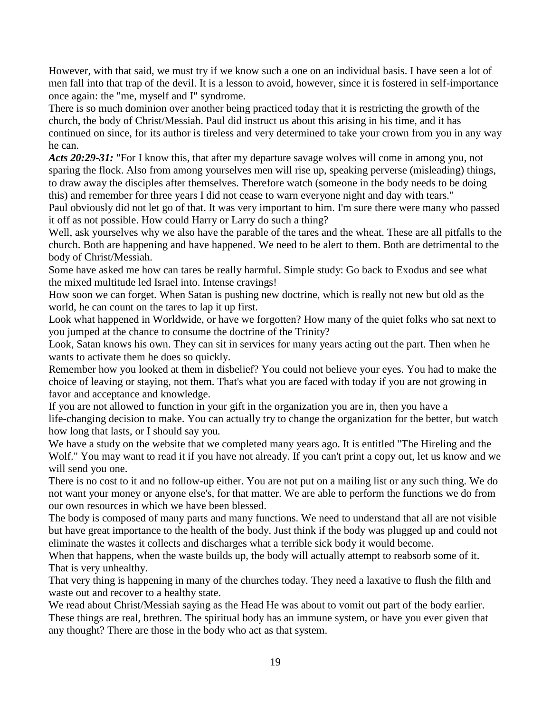However, with that said, we must try if we know such a one on an individual basis. I have seen a lot of men fall into that trap of the devil. It is a lesson to avoid, however, since it is fostered in self-importance once again: the "me, myself and I" syndrome.

There is so much dominion over another being practiced today that it is restricting the growth of the church, the body of Christ/Messiah. Paul did instruct us about this arising in his time, and it has continued on since, for its author is tireless and very determined to take your crown from you in any way he can.

*Acts 20:29-31:* "For I know this, that after my departure savage wolves will come in among you, not sparing the flock. Also from among yourselves men will rise up, speaking perverse (misleading) things, to draw away the disciples after themselves. Therefore watch (someone in the body needs to be doing this) and remember for three years I did not cease to warn everyone night and day with tears."

Paul obviously did not let go of that. It was very important to him. I'm sure there were many who passed it off as not possible. How could Harry or Larry do such a thing?

Well, ask yourselves why we also have the parable of the tares and the wheat. These are all pitfalls to the church. Both are happening and have happened. We need to be alert to them. Both are detrimental to the body of Christ/Messiah.

Some have asked me how can tares be really harmful. Simple study: Go back to Exodus and see what the mixed multitude led Israel into. Intense cravings!

How soon we can forget. When Satan is pushing new doctrine, which is really not new but old as the world, he can count on the tares to lap it up first.

Look what happened in Worldwide, or have we forgotten? How many of the quiet folks who sat next to you jumped at the chance to consume the doctrine of the Trinity?

Look, Satan knows his own. They can sit in services for many years acting out the part. Then when he wants to activate them he does so quickly.

Remember how you looked at them in disbelief? You could not believe your eyes. You had to make the choice of leaving or staying, not them. That's what you are faced with today if you are not growing in favor and acceptance and knowledge.

If you are not allowed to function in your gift in the organization you are in, then you have a life-changing decision to make. You can actually try to change the organization for the better, but watch how long that lasts, or I should say you*.*

We have a study on the website that we completed many years ago. It is entitled "The Hireling and the Wolf." You may want to read it if you have not already. If you can't print a copy out, let us know and we will send you one.

There is no cost to it and no follow-up either. You are not put on a mailing list or any such thing. We do not want your money or anyone else's, for that matter. We are able to perform the functions we do from our own resources in which we have been blessed.

The body is composed of many parts and many functions. We need to understand that all are not visible but have great importance to the health of the body. Just think if the body was plugged up and could not eliminate the wastes it collects and discharges what a terrible sick body it would become.

When that happens, when the waste builds up, the body will actually attempt to reabsorb some of it. That is very unhealthy.

That very thing is happening in many of the churches today. They need a laxative to flush the filth and waste out and recover to a healthy state.

We read about Christ/Messiah saying as the Head He was about to vomit out part of the body earlier. These things are real, brethren. The spiritual body has an immune system, or have you ever given that any thought? There are those in the body who act as that system.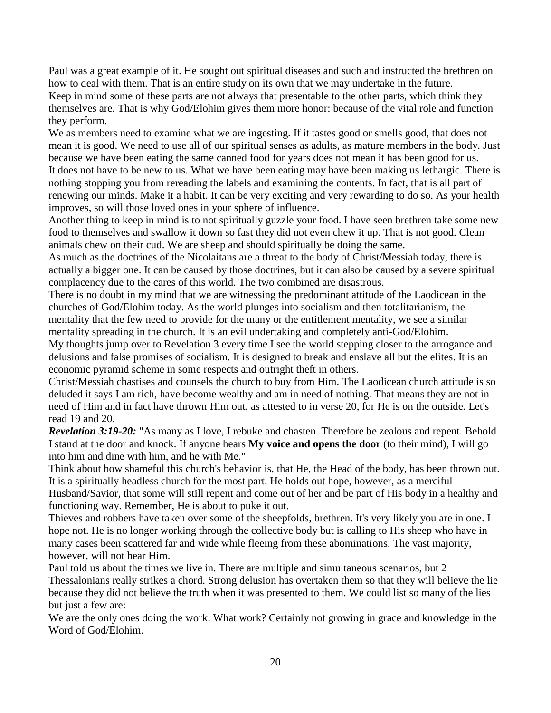Paul was a great example of it. He sought out spiritual diseases and such and instructed the brethren on how to deal with them. That is an entire study on its own that we may undertake in the future. Keep in mind some of these parts are not always that presentable to the other parts, which think they themselves are. That is why God/Elohim gives them more honor: because of the vital role and function they perform.

We as members need to examine what we are ingesting. If it tastes good or smells good, that does not mean it is good. We need to use all of our spiritual senses as adults, as mature members in the body. Just because we have been eating the same canned food for years does not mean it has been good for us. It does not have to be new to us. What we have been eating may have been making us lethargic. There is nothing stopping you from rereading the labels and examining the contents. In fact, that is all part of renewing our minds. Make it a habit. It can be very exciting and very rewarding to do so. As your health improves, so will those loved ones in your sphere of influence.

Another thing to keep in mind is to not spiritually guzzle your food. I have seen brethren take some new food to themselves and swallow it down so fast they did not even chew it up. That is not good. Clean animals chew on their cud. We are sheep and should spiritually be doing the same.

As much as the doctrines of the Nicolaitans are a threat to the body of Christ/Messiah today, there is actually a bigger one. It can be caused by those doctrines, but it can also be caused by a severe spiritual complacency due to the cares of this world. The two combined are disastrous.

There is no doubt in my mind that we are witnessing the predominant attitude of the Laodicean in the churches of God/Elohim today. As the world plunges into socialism and then totalitarianism, the mentality that the few need to provide for the many or the entitlement mentality, we see a similar mentality spreading in the church. It is an evil undertaking and completely anti-God/Elohim.

My thoughts jump over to Revelation 3 every time I see the world stepping closer to the arrogance and delusions and false promises of socialism. It is designed to break and enslave all but the elites. It is an economic pyramid scheme in some respects and outright theft in others.

Christ/Messiah chastises and counsels the church to buy from Him. The Laodicean church attitude is so deluded it says I am rich, have become wealthy and am in need of nothing. That means they are not in need of Him and in fact have thrown Him out, as attested to in verse 20, for He is on the outside. Let's read 19 and 20.

*Revelation 3:19-20:* "As many as I love, I rebuke and chasten. Therefore be zealous and repent. Behold I stand at the door and knock. If anyone hears **My voice and opens the door** (to their mind), I will go into him and dine with him, and he with Me."

Think about how shameful this church's behavior is, that He, the Head of the body, has been thrown out. It is a spiritually headless church for the most part. He holds out hope, however, as a merciful Husband/Savior, that some will still repent and come out of her and be part of His body in a healthy and functioning way. Remember, He is about to puke it out.

Thieves and robbers have taken over some of the sheepfolds, brethren. It's very likely you are in one. I hope not. He is no longer working through the collective body but is calling to His sheep who have in many cases been scattered far and wide while fleeing from these abominations. The vast majority, however, will not hear Him.

Paul told us about the times we live in. There are multiple and simultaneous scenarios, but 2 Thessalonians really strikes a chord. Strong delusion has overtaken them so that they will believe the lie because they did not believe the truth when it was presented to them. We could list so many of the lies but just a few are:

We are the only ones doing the work. What work? Certainly not growing in grace and knowledge in the Word of God/Elohim.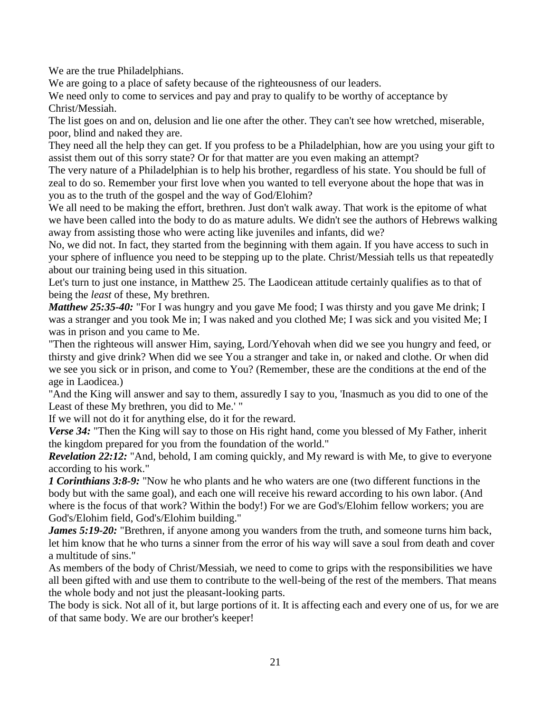We are the true Philadelphians.

We are going to a place of safety because of the righteousness of our leaders.

We need only to come to services and pay and pray to qualify to be worthy of acceptance by Christ/Messiah.

The list goes on and on, delusion and lie one after the other. They can't see how wretched, miserable, poor, blind and naked they are.

They need all the help they can get. If you profess to be a Philadelphian, how are you using your gift to assist them out of this sorry state? Or for that matter are you even making an attempt?

The very nature of a Philadelphian is to help his brother, regardless of his state. You should be full of zeal to do so. Remember your first love when you wanted to tell everyone about the hope that was in you as to the truth of the gospel and the way of God/Elohim?

We all need to be making the effort, brethren. Just don't walk away. That work is the epitome of what we have been called into the body to do as mature adults. We didn't see the authors of Hebrews walking away from assisting those who were acting like juveniles and infants, did we?

No, we did not. In fact, they started from the beginning with them again. If you have access to such in your sphere of influence you need to be stepping up to the plate. Christ/Messiah tells us that repeatedly about our training being used in this situation.

Let's turn to just one instance, in Matthew 25. The Laodicean attitude certainly qualifies as to that of being the *least* of these, My brethren.

*Matthew 25:35-40:* "For I was hungry and you gave Me food; I was thirsty and you gave Me drink; I was a stranger and you took Me in; I was naked and you clothed Me; I was sick and you visited Me; I was in prison and you came to Me.

"Then the righteous will answer Him, saying, Lord/Yehovah when did we see you hungry and feed, or thirsty and give drink? When did we see You a stranger and take in, or naked and clothe. Or when did we see you sick or in prison, and come to You? (Remember, these are the conditions at the end of the age in Laodicea.)

"And the King will answer and say to them, assuredly I say to you, 'Inasmuch as you did to one of the Least of these My brethren, you did to Me.' "

If we will not do it for anything else, do it for the reward.

*Verse 34:* "Then the King will say to those on His right hand, come you blessed of My Father, inherit the kingdom prepared for you from the foundation of the world."

*Revelation 22:12:* "And, behold, I am coming quickly, and My reward is with Me, to give to everyone according to his work."

*1 Corinthians 3:8-9:* "Now he who plants and he who waters are one (two different functions in the body but with the same goal), and each one will receive his reward according to his own labor. (And where is the focus of that work? Within the body!) For we are God's/Elohim fellow workers; you are God's/Elohim field, God's/Elohim building."

*James 5:19-20:* "Brethren, if anyone among you wanders from the truth, and someone turns him back, let him know that he who turns a sinner from the error of his way will save a soul from death and cover a multitude of sins."

As members of the body of Christ/Messiah, we need to come to grips with the responsibilities we have all been gifted with and use them to contribute to the well-being of the rest of the members. That means the whole body and not just the pleasant-looking parts.

The body is sick. Not all of it, but large portions of it. It is affecting each and every one of us, for we are of that same body. We are our brother's keeper!